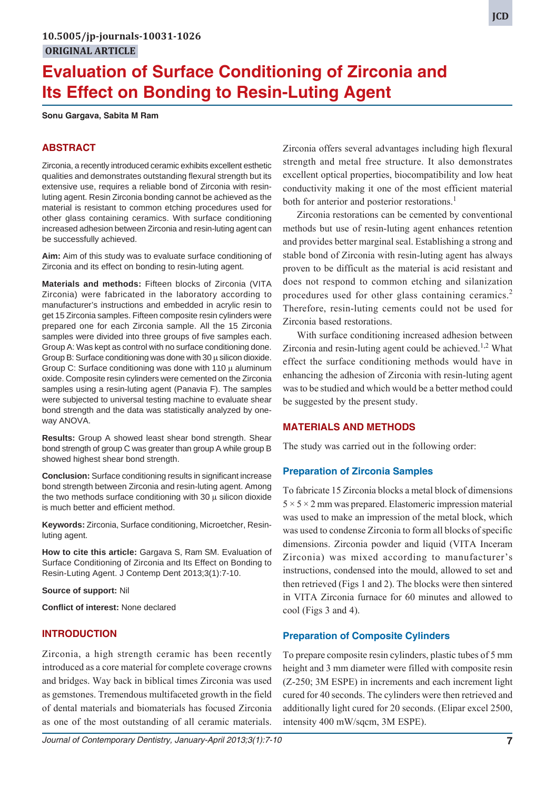# **Evaluation of Surface Conditioning of Zirconia and Its Effect on Bonding to Resin-Luting Agent**

**Sonu Gargava, Sabita M Ram**

# **ABSTRACT**

Zirconia, a recently introduced ceramic exhibits excellent esthetic qualities and demonstrates outstanding flexural strength but its extensive use, requires a reliable bond of Zirconia with resinluting agent. Resin Zirconia bonding cannot be achieved as the material is resistant to common etching procedures used for other glass containing ceramics. With surface conditioning increased adhesion between Zirconia and resin-luting agent can be successfully achieved.

**Aim:** Aim of this study was to evaluate surface conditioning of Zirconia and its effect on bonding to resin-luting agent.

**Materials and methods:** Fifteen blocks of Zirconia (VITA Zirconia) were fabricated in the laboratory according to manufacturer's instructions and embedded in acrylic resin to get 15 Zirconia samples. Fifteen composite resin cylinders were prepared one for each Zirconia sample. All the 15 Zirconia samples were divided into three groups of five samples each. Group A: Was kept as control with no surface conditioning done. Group B: Surface conditioning was done with 30 μ silicon dioxide. Group C: Surface conditioning was done with 110 μ aluminum oxide. Composite resin cylinders were cemented on the Zirconia samples using a resin-luting agent (Panavia F). The samples were subjected to universal testing machine to evaluate shear bond strength and the data was statistically analyzed by oneway ANOVA.

**Results:** Group A showed least shear bond strength. Shear bond strength of group C was greater than group A while group B showed highest shear bond strength.

**Conclusion:** Surface conditioning results in significant increase bond strength between Zirconia and resin-luting agent. Among the two methods surface conditioning with 30  $\mu$  silicon dioxide is much better and efficient method.

**Keywords:** Zirconia, Surface conditioning, Microetcher, Resinluting agent.

**How to cite this article:** Gargava S, Ram SM. Evaluation of Surface Conditioning of Zirconia and Its Effect on Bonding to Resin-Luting Agent. J Contemp Dent 2013;3(1):7-10.

**Source of support:** Nil

**Conflict of interest:** None declared

#### **INTRODUCTION**

Zirconia, a high strength ceramic has been recently introduced as a core material for complete coverage crowns and bridges. Way back in biblical times Zirconia was used as gemstones. Tremendous multifaceted growth in the field of dental materials and biomaterials has focused Zirconia as one of the most outstanding of all ceramic materials.

Zirconia offers several advantages including high flexural strength and metal free structure. It also demonstrates excellent optical properties, biocompatibility and low heat conductivity making it one of the most efficient material both for anterior and posterior restorations.<sup>1</sup>

Zirconia restorations can be cemented by conventional methods but use of resin-luting agent enhances retention and provides better marginal seal. Establishing a strong and stable bond of Zirconia with resin-luting agent has always proven to be difficult as the material is acid resistant and does not respond to common etching and silanization procedures used for other glass containing ceramics.<sup>2</sup> Therefore, resin-luting cements could not be used for Zirconia based restorations.

With surface conditioning increased adhesion between Zirconia and resin-luting agent could be achieved.<sup>1,2</sup> What effect the surface conditioning methods would have in enhancing the adhesion of Zirconia with resin-luting agent was to be studied and which would be a better method could be suggested by the present study.

#### **MATERIALS AND METHODS**

The study was carried out in the following order:

#### **Preparation of Zirconia Samples**

To fabricate 15 Zirconia blocks a metal block of dimensions  $5 \times 5 \times 2$  mm was prepared. Elastomeric impression material was used to make an impression of the metal block, which was used to condense Zirconia to form all blocks of specific dimensions. Zirconia powder and liquid (VITA Inceram Zirconia) was mixed according to manufacturer's instructions, condensed into the mould, allowed to set and then retrieved (Figs 1 and 2). The blocks were then sintered in VITA Zirconia furnace for 60 minutes and allowed to cool (Figs 3 and 4).

#### **Preparation of Composite Cylinders**

To prepare composite resin cylinders, plastic tubes of 5 mm height and 3 mm diameter were filled with composite resin (Z-250; 3M ESPE) in increments and each increment light cured for 40 seconds. The cylinders were then retrieved and additionally light cured for 20 seconds. (Elipar excel 2500, intensity 400 mW/sqcm, 3M ESPE).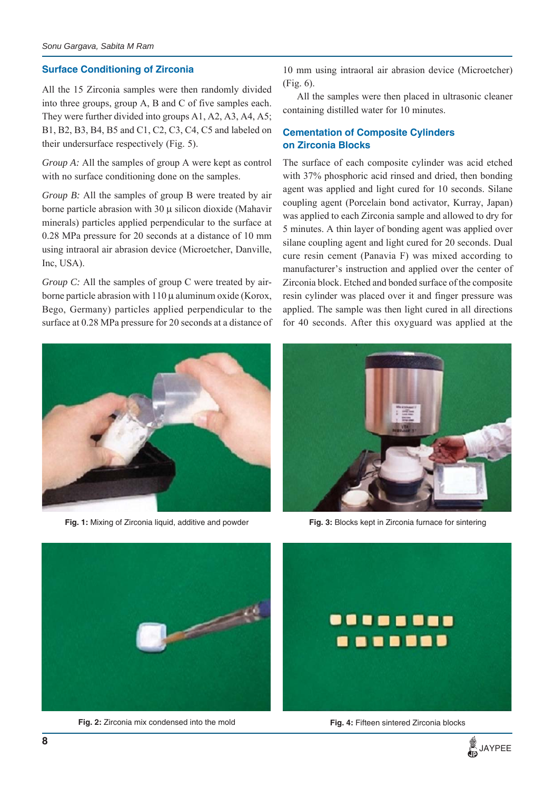# **Surface Conditioning of Zirconia**

All the 15 Zirconia samples were then randomly divided into three groups, group A, B and C of five samples each. They were further divided into groups A1, A2, A3, A4, A5; B1, B2, B3, B4, B5 and C1, C2, C3, C4, C5 and labeled on their undersurface respectively (Fig. 5).

*Group A:* All the samples of group A were kept as control with no surface conditioning done on the samples.

*Group B:* All the samples of group B were treated by air borne particle abrasion with 30 μ silicon dioxide (Mahavir minerals) particles applied perpendicular to the surface at 0.28 MPa pressure for 20 seconds at a distance of 10 mm using intraoral air abrasion device (Microetcher, Danville, Inc, USA).

*Group C:* All the samples of group C were treated by airborne particle abrasion with 110 μ aluminum oxide (Korox, Bego, Germany) particles applied perpendicular to the surface at 0.28 MPa pressure for 20 seconds at a distance of 10 mm using intraoral air abrasion device (Microetcher) (Fig. 6).

All the samples were then placed in ultrasonic cleaner containing distilled water for 10 minutes.

# **Cementation of Composite Cylinders on Zirconia Blocks**

The surface of each composite cylinder was acid etched with 37% phosphoric acid rinsed and dried, then bonding agent was applied and light cured for 10 seconds. Silane coupling agent (Porcelain bond activator, Kurray, Japan) was applied to each Zirconia sample and allowed to dry for 5 minutes. A thin layer of bonding agent was applied over silane coupling agent and light cured for 20 seconds. Dual cure resin cement (Panavia F) was mixed according to manufacturer's instruction and applied over the center of Zirconia block. Etched and bonded surface of the composite resin cylinder was placed over it and finger pressure was applied. The sample was then light cured in all directions for 40 seconds. After this oxyguard was applied at the



**Fig. 1:** Mixing of Zirconia liquid, additive and powder



**Fig. 3:** Blocks kept in Zirconia furnace for sintering



**Fig. 2:** Zirconia mix condensed into the mold



**Fig. 4:** Fifteen sintered Zirconia blocks

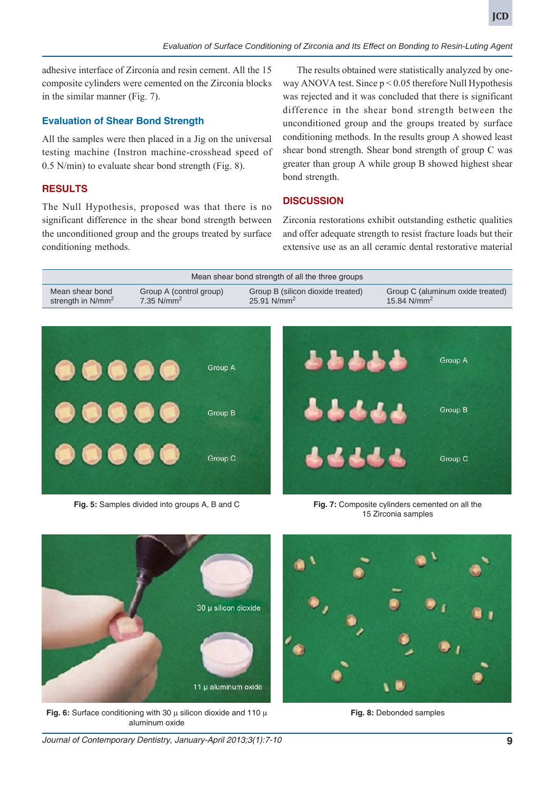adhesive interface of Zirconia and resin cement. All the 15 composite cylinders were cemented on the Zirconia blocks in the similar manner (Fig. 7).

#### **Evaluation of Shear Bond Strength**

All the samples were then placed in a Jig on the universal testing machine (Instron machine-crosshead speed of 0.5 N/min) to evaluate shear bond strength (Fig. 8).

## **RESULTS**

The Null Hypothesis, proposed was that there is no significant difference in the shear bond strength between the unconditioned group and the groups treated by surface conditioning methods.

The results obtained were statistically analyzed by oneway ANOVA test. Since  $p < 0.05$  therefore Null Hypothesis was rejected and it was concluded that there is significant difference in the shear bond strength between the unconditioned group and the groups treated by surface conditioning methods. In the results group A showed least shear bond strength. Shear bond strength of group C was greater than group A while group B showed highest shear bond strength.

# **DISCUSSION**

Zirconia restorations exhibit outstanding esthetic qualities and offer adequate strength to resist fracture loads but their extensive use as an all ceramic dental restorative material





**Fig. 5:** Samples divided into groups A, B and C

**Fig. 7:** Composite cylinders cemented on all the 15 Zirconia samples



**Fig. 6:** Surface conditioning with 30 μ silicon dioxide and 110 μ aluminum oxide

**Fig. 8:** Debonded samples